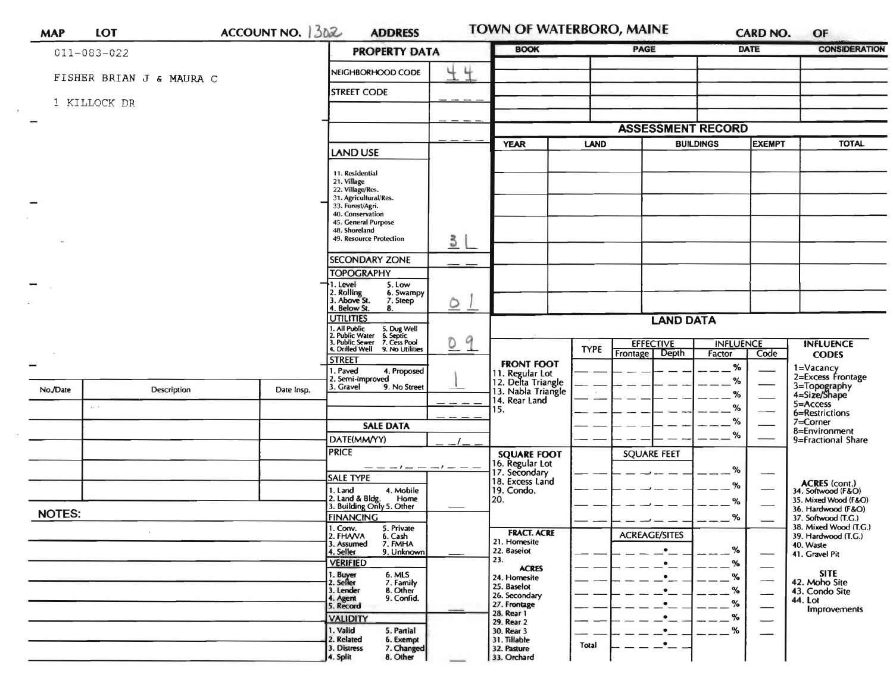|               | 011-083-022                  |            | <b>PROPERTY DATA</b>                                                                         |              | <b>BOOK</b>                                                 |             | PAGE                                  | <b>DATE</b>                            | <b>CONSIDERATION</b>                                                                                                                                                                                                                                                                                                                          |  |
|---------------|------------------------------|------------|----------------------------------------------------------------------------------------------|--------------|-------------------------------------------------------------|-------------|---------------------------------------|----------------------------------------|-----------------------------------------------------------------------------------------------------------------------------------------------------------------------------------------------------------------------------------------------------------------------------------------------------------------------------------------------|--|
|               |                              |            | NEIGHBORHOOD CODE                                                                            | 44           |                                                             |             |                                       |                                        |                                                                                                                                                                                                                                                                                                                                               |  |
|               | FISHER BRIAN J & MAURA C     |            | <b>STREET CODE</b>                                                                           |              |                                                             |             |                                       |                                        |                                                                                                                                                                                                                                                                                                                                               |  |
|               | 1 KILLOCK DR                 |            |                                                                                              |              |                                                             |             |                                       |                                        |                                                                                                                                                                                                                                                                                                                                               |  |
|               |                              |            |                                                                                              |              |                                                             |             | <b>ASSESSMENT RECORD</b>              |                                        |                                                                                                                                                                                                                                                                                                                                               |  |
|               |                              |            |                                                                                              |              | <b>YEAR</b>                                                 | <b>LAND</b> |                                       | <b>EXEMPT</b><br><b>BUILDINGS</b>      |                                                                                                                                                                                                                                                                                                                                               |  |
|               |                              |            | <b>LAND USE</b>                                                                              |              |                                                             |             |                                       |                                        |                                                                                                                                                                                                                                                                                                                                               |  |
|               |                              |            | 11. Residential<br>21. Village                                                               |              |                                                             |             |                                       |                                        |                                                                                                                                                                                                                                                                                                                                               |  |
|               |                              |            | 22. Village/Res.<br>31. Agricultural/Res.                                                    |              |                                                             |             |                                       |                                        |                                                                                                                                                                                                                                                                                                                                               |  |
|               |                              |            | 33. Forest/Agri.<br>40. Conservation                                                         |              |                                                             |             |                                       |                                        |                                                                                                                                                                                                                                                                                                                                               |  |
|               |                              |            | 45. General Purpose<br>48. Shoreland                                                         |              |                                                             |             |                                       |                                        |                                                                                                                                                                                                                                                                                                                                               |  |
|               |                              |            | 49. Resource Protection                                                                      | 3            |                                                             |             |                                       |                                        |                                                                                                                                                                                                                                                                                                                                               |  |
|               |                              |            | <b>SECONDARY ZONE</b>                                                                        |              |                                                             |             |                                       |                                        | <b>TOTAL</b><br><b>INFLUENCE</b><br><b>CODES</b><br>1=Vacancy<br>3=Topography<br>4=Size/Shape<br>$5 =$ Access<br>6=Restrictions<br>7=Corner<br>8=Environment<br><b>ACRES</b> (cont.)<br>34. Softwood (F&O)<br>36. Hardwood (F&O)<br>37. Softwood (T.G.)<br>39. Hardwood (T.G.)<br>40. Waste<br>41. Gravel Pit<br><b>SITE</b><br>42. Moho Site |  |
|               |                              |            | <b>TOPOGRAPHY</b>                                                                            |              |                                                             |             |                                       |                                        |                                                                                                                                                                                                                                                                                                                                               |  |
|               |                              |            | 1. Level<br>5. Low<br>2. Rolling<br>3. Above St.<br>6. Swampy                                |              |                                                             |             |                                       |                                        |                                                                                                                                                                                                                                                                                                                                               |  |
|               |                              |            | 7. Steep<br>4. Below St.<br>8.                                                               | $\circ$ 1    |                                                             |             |                                       |                                        |                                                                                                                                                                                                                                                                                                                                               |  |
|               |                              |            | <b>UTILITIES</b>                                                                             |              |                                                             |             | <b>LAND DATA</b>                      |                                        |                                                                                                                                                                                                                                                                                                                                               |  |
|               |                              |            | . All Public<br>. Public Water<br>5. Dug Well<br>6. Septic<br>. Public Sewer<br>7. Cess Pool | 9<br>$\circ$ |                                                             |             |                                       |                                        |                                                                                                                                                                                                                                                                                                                                               |  |
|               |                              |            | 4. Drilled Well<br>9. No Utilities<br><b>STREET</b>                                          |              |                                                             | <b>TYPE</b> | <b>EFFECTIVE</b><br>Depth<br>Frontage | <b>INFLUENCE</b><br>Code<br>Factor     |                                                                                                                                                                                                                                                                                                                                               |  |
|               |                              |            | . Paved<br>4. Proposed<br>2. Semi-Improved                                                   |              | <b>FRONT FOOT</b>                                           |             |                                       | $\%$                                   |                                                                                                                                                                                                                                                                                                                                               |  |
| No./Date      | Description                  | Date Insp. | 3. Gravel<br>9. No Street                                                                    |              | 11. Regular Lot<br>12. Delta Triangle<br>13. Nabla Triangle |             |                                       | %<br>%                                 |                                                                                                                                                                                                                                                                                                                                               |  |
|               | $\mathbf{u} \in \mathcal{L}$ |            |                                                                                              |              | 14. Rear Land<br>15.                                        |             |                                       | %                                      |                                                                                                                                                                                                                                                                                                                                               |  |
|               |                              |            | <b>SALE DATA</b>                                                                             |              |                                                             |             |                                       | %                                      |                                                                                                                                                                                                                                                                                                                                               |  |
|               |                              |            | DATE(MM/YY)                                                                                  |              |                                                             |             |                                       | %                                      | 2=Excess Frontage                                                                                                                                                                                                                                                                                                                             |  |
|               |                              |            | <b>PRICE</b>                                                                                 |              | <b>SQUARE FOOT</b>                                          |             | <b>SQUARE FEET</b>                    |                                        |                                                                                                                                                                                                                                                                                                                                               |  |
|               |                              |            | — — — ! — — — ! — —<br><b>SALE TYPE</b>                                                      |              | 16. Regular Lot<br>17. Secondary                            |             |                                       | %<br>$\overline{\phantom{0}}$          |                                                                                                                                                                                                                                                                                                                                               |  |
|               |                              |            | 1. Land<br>4. Mobile                                                                         |              | 18. Excess Land<br>19. Condo.                               |             |                                       | %                                      |                                                                                                                                                                                                                                                                                                                                               |  |
|               |                              |            |                                                                                              |              | 20.                                                         |             |                                       | %                                      | 35. Mixed Wood (F&O)                                                                                                                                                                                                                                                                                                                          |  |
|               |                              |            | 2. Land & Bldg.<br>Home<br>3. Building Only 5. Other                                         |              |                                                             |             |                                       |                                        |                                                                                                                                                                                                                                                                                                                                               |  |
| <b>NOTES:</b> |                              |            | <b>FINANCING</b>                                                                             |              |                                                             |             |                                       | %                                      | 9=Fractional Share<br>38. Mixed Wood (T.G.)                                                                                                                                                                                                                                                                                                   |  |
|               |                              |            | 1. Conv.<br>2. FHAVA<br>5. Private<br>6. Cash                                                |              | <b>FRACT. ACRE</b>                                          |             | <b>ACREAGE/SITES</b>                  |                                        |                                                                                                                                                                                                                                                                                                                                               |  |
|               |                              |            | 3. Assumed<br>7. FMHA<br>9. Unknown<br>4. Seller                                             |              | 21. Homesite<br>22. Baselot                                 |             | $\bullet$                             | %<br>$\overbrace{\phantom{aaaaa}}$     |                                                                                                                                                                                                                                                                                                                                               |  |
|               |                              |            | <b>VERIFIED</b>                                                                              |              | 23.<br><b>ACRES</b>                                         |             | $\bullet$                             | %                                      |                                                                                                                                                                                                                                                                                                                                               |  |
|               |                              |            | 1. Buyer<br>2. Seller<br>6. MLS<br>7. Family                                                 |              | 24. Homesite<br>25. Baselot                                 |             | $\bullet$                             | %<br>$\overbrace{\phantom{13333}}$     |                                                                                                                                                                                                                                                                                                                                               |  |
|               |                              |            | 3. Lender<br>8. Other<br>9. Confid.<br>4. Agent                                              |              | 26. Secondary<br>27. Frontage                               |             | $\bullet$<br>٠                        | %<br>$\overbrace{\hspace{2.5em}}$<br>% | 43. Condo Site<br>44. Lot                                                                                                                                                                                                                                                                                                                     |  |
|               |                              |            | 5. Record<br><b>VALIDITY</b>                                                                 |              | 28. Rear 1                                                  |             | ٠                                     | ℅<br>$\overline{\phantom{0}}$          | Improvements                                                                                                                                                                                                                                                                                                                                  |  |
|               |                              |            | 1. Valid<br>5. Partial<br>2. Related<br>6. Exempt                                            |              | 29. Rear 2<br>30. Rear 3<br>31. Tillable                    |             | ٠                                     | ℅                                      |                                                                                                                                                                                                                                                                                                                                               |  |